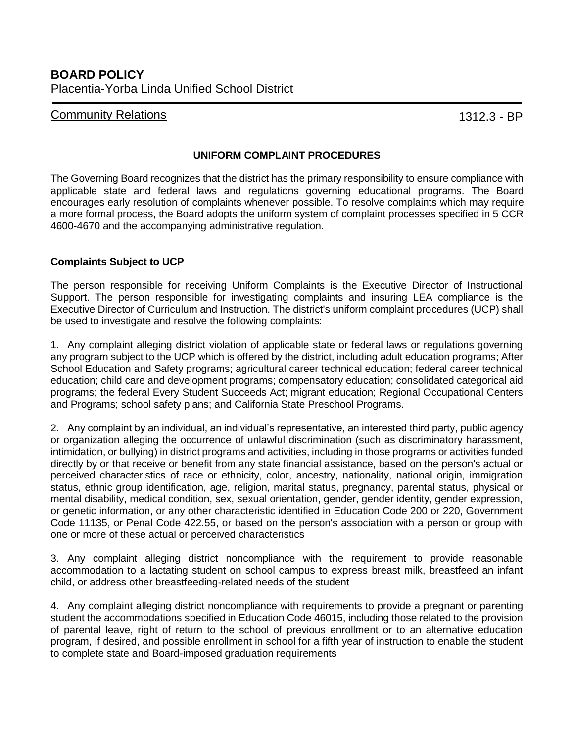## **Community Relations 1312.3 - BP**

## **UNIFORM COMPLAINT PROCEDURES**

The Governing Board recognizes that the district has the primary responsibility to ensure compliance with applicable state and federal laws and regulations governing educational programs. The Board encourages early resolution of complaints whenever possible. To resolve complaints which may require a more formal process, the Board adopts the uniform system of complaint processes specified in 5 CCR 4600-4670 and the accompanying administrative regulation.

## **Complaints Subject to UCP**

The person responsible for receiving Uniform Complaints is the Executive Director of Instructional Support. The person responsible for investigating complaints and insuring LEA compliance is the Executive Director of Curriculum and Instruction. The district's uniform complaint procedures (UCP) shall be used to investigate and resolve the following complaints:

1. Any complaint alleging district violation of applicable state or federal laws or regulations governing any program subject to the UCP which is offered by the district, including adult education programs; After School Education and Safety programs; agricultural career technical education; federal career technical education; child care and development programs; compensatory education; consolidated categorical aid programs; the federal Every Student Succeeds Act; migrant education; Regional Occupational Centers and Programs; school safety plans; and California State Preschool Programs.

2. Any complaint by an individual, an individual's representative, an interested third party, public agency or organization alleging the occurrence of unlawful discrimination (such as discriminatory harassment, intimidation, or bullying) in district programs and activities, including in those programs or activities funded directly by or that receive or benefit from any state financial assistance, based on the person's actual or perceived characteristics of race or ethnicity, color, ancestry, nationality, national origin, immigration status, ethnic group identification, age, religion, marital status, pregnancy, parental status, physical or mental disability, medical condition, sex, sexual orientation, gender, gender identity, gender expression, or genetic information, or any other characteristic identified in Education Code 200 or 220, Government Code 11135, or Penal Code 422.55, or based on the person's association with a person or group with one or more of these actual or perceived characteristics

3. Any complaint alleging district noncompliance with the requirement to provide reasonable accommodation to a lactating student on school campus to express breast milk, breastfeed an infant child, or address other breastfeeding-related needs of the student

4. Any complaint alleging district noncompliance with requirements to provide a pregnant or parenting student the accommodations specified in Education Code 46015, including those related to the provision of parental leave, right of return to the school of previous enrollment or to an alternative education program, if desired, and possible enrollment in school for a fifth year of instruction to enable the student to complete state and Board-imposed graduation requirements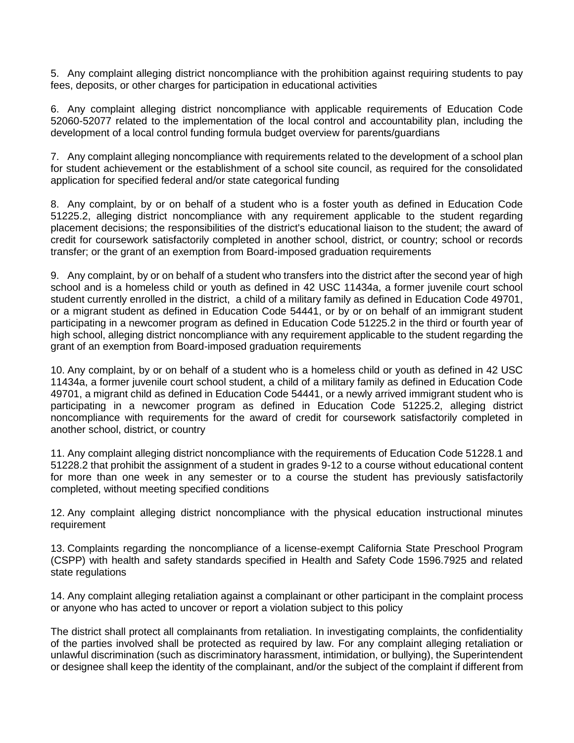5. Any complaint alleging district noncompliance with the prohibition against requiring students to pay fees, deposits, or other charges for participation in educational activities

6. Any complaint alleging district noncompliance with applicable requirements of Education Code 52060-52077 related to the implementation of the local control and accountability plan, including the development of a local control funding formula budget overview for parents/guardians

7. Any complaint alleging noncompliance with requirements related to the development of a school plan for student achievement or the establishment of a school site council, as required for the consolidated application for specified federal and/or state categorical funding

8. Any complaint, by or on behalf of a student who is a foster youth as defined in Education Code 51225.2, alleging district noncompliance with any requirement applicable to the student regarding placement decisions; the responsibilities of the district's educational liaison to the student; the award of credit for coursework satisfactorily completed in another school, district, or country; school or records transfer; or the grant of an exemption from Board-imposed graduation requirements

9. Any complaint, by or on behalf of a student who transfers into the district after the second year of high school and is a homeless child or youth as defined in 42 USC 11434a, a former juvenile court school student currently enrolled in the district, a child of a military family as defined in Education Code 49701, or a migrant student as defined in Education Code 54441, or by or on behalf of an immigrant student participating in a newcomer program as defined in Education Code 51225.2 in the third or fourth year of high school, alleging district noncompliance with any requirement applicable to the student regarding the grant of an exemption from Board-imposed graduation requirements

10. Any complaint, by or on behalf of a student who is a homeless child or youth as defined in 42 USC 11434a, a former juvenile court school student, a child of a military family as defined in Education Code 49701, a migrant child as defined in Education Code 54441, or a newly arrived immigrant student who is participating in a newcomer program as defined in Education Code 51225.2, alleging district noncompliance with requirements for the award of credit for coursework satisfactorily completed in another school, district, or country

11. Any complaint alleging district noncompliance with the requirements of Education Code 51228.1 and 51228.2 that prohibit the assignment of a student in grades 9-12 to a course without educational content for more than one week in any semester or to a course the student has previously satisfactorily completed, without meeting specified conditions

12. Any complaint alleging district noncompliance with the physical education instructional minutes requirement

13. Complaints regarding the noncompliance of a license-exempt California State Preschool Program (CSPP) with health and safety standards specified in Health and Safety Code 1596.7925 and related state regulations

14. Any complaint alleging retaliation against a complainant or other participant in the complaint process or anyone who has acted to uncover or report a violation subject to this policy

The district shall protect all complainants from retaliation. In investigating complaints, the confidentiality of the parties involved shall be protected as required by law. For any complaint alleging retaliation or unlawful discrimination (such as discriminatory harassment, intimidation, or bullying), the Superintendent or designee shall keep the identity of the complainant, and/or the subject of the complaint if different from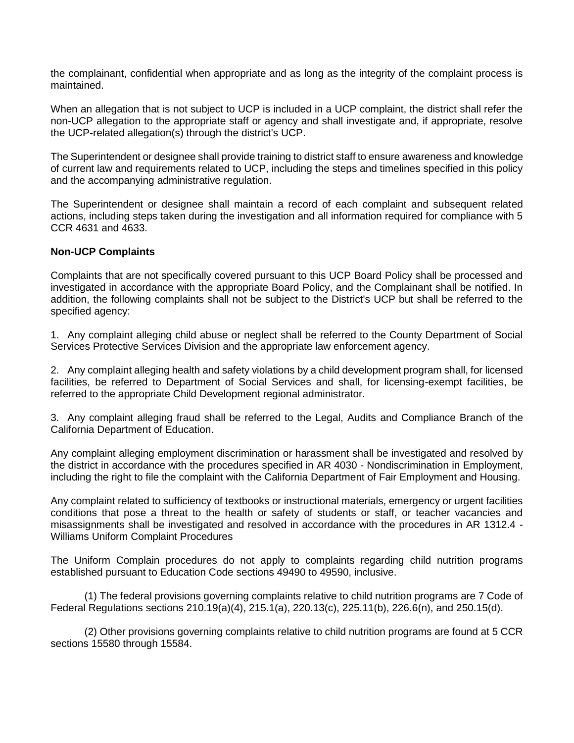the complainant, confidential when appropriate and as long as the integrity of the complaint process is maintained.

When an allegation that is not subject to UCP is included in a UCP complaint, the district shall refer the non-UCP allegation to the appropriate staff or agency and shall investigate and, if appropriate, resolve the UCP-related allegation(s) through the district's UCP.

The Superintendent or designee shall provide training to district staff to ensure awareness and knowledge of current law and requirements related to UCP, including the steps and timelines specified in this policy and the accompanying administrative regulation.

The Superintendent or designee shall maintain a record of each complaint and subsequent related actions, including steps taken during the investigation and all information required for compliance with 5 CCR 4631 and 4633.

## **Non-UCP Complaints**

Complaints that are not specifically covered pursuant to this UCP Board Policy shall be processed and investigated in accordance with the appropriate Board Policy, and the Complainant shall be notified. In addition, the following complaints shall not be subject to the District's UCP but shall be referred to the specified agency:

1. Any complaint alleging child abuse or neglect shall be referred to the County Department of Social Services Protective Services Division and the appropriate law enforcement agency.

2. Any complaint alleging health and safety violations by a child development program shall, for licensed facilities, be referred to Department of Social Services and shall, for licensing-exempt facilities, be referred to the appropriate Child Development regional administrator.

3. Any complaint alleging fraud shall be referred to the Legal, Audits and Compliance Branch of the California Department of Education.

Any complaint alleging employment discrimination or harassment shall be investigated and resolved by the district in accordance with the procedures specified in AR 4030 - Nondiscrimination in Employment, including the right to file the complaint with the California Department of Fair Employment and Housing.

Any complaint related to sufficiency of textbooks or instructional materials, emergency or urgent facilities conditions that pose a threat to the health or safety of students or staff, or teacher vacancies and misassignments shall be investigated and resolved in accordance with the procedures in AR 1312.4 - Williams Uniform Complaint Procedures

The Uniform Complain procedures do not apply to complaints regarding child nutrition programs established pursuant to Education Code sections 49490 to 49590, inclusive.

(1) The federal provisions governing complaints relative to child nutrition programs are 7 Code of Federal Regulations sections 210.19(a)(4), 215.1(a), 220.13(c), 225.11(b), 226.6(n), and 250.15(d).

(2) Other provisions governing complaints relative to child nutrition programs are found at 5 CCR sections 15580 through 15584.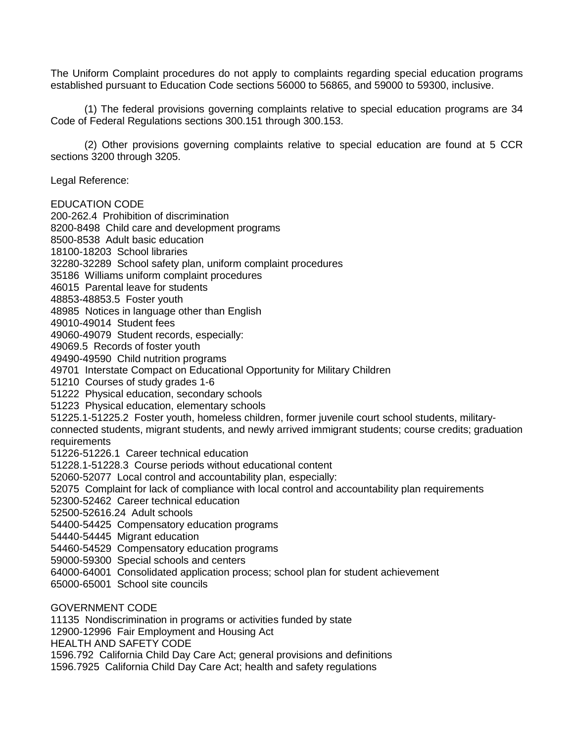The Uniform Complaint procedures do not apply to complaints regarding special education programs established pursuant to Education Code sections 56000 to 56865, and 59000 to 59300, inclusive.

(1) The federal provisions governing complaints relative to special education programs are 34 Code of Federal Regulations sections 300.151 through 300.153.

(2) Other provisions governing complaints relative to special education are found at 5 CCR sections 3200 through 3205.

Legal Reference:

EDUCATION CODE

200-262.4 Prohibition of discrimination

8200-8498 Child care and development programs

8500-8538 Adult basic education

18100-18203 School libraries

32280-32289 School safety plan, uniform complaint procedures

35186 Williams uniform complaint procedures

46015 Parental leave for students

48853-48853.5 Foster youth

48985 Notices in language other than English

49010-49014 Student fees

49060-49079 Student records, especially:

49069.5 Records of foster youth

49490-49590 Child nutrition programs

49701 Interstate Compact on Educational Opportunity for Military Children

51210 Courses of study grades 1-6

51222 Physical education, secondary schools

51223 Physical education, elementary schools

51225.1-51225.2 Foster youth, homeless children, former juvenile court school students, military-

connected students, migrant students, and newly arrived immigrant students; course credits; graduation requirements

51226-51226.1 Career technical education

51228.1-51228.3 Course periods without educational content

52060-52077 Local control and accountability plan, especially:

52075 Complaint for lack of compliance with local control and accountability plan requirements

52300-52462 Career technical education

52500-52616.24 Adult schools

54400-54425 Compensatory education programs

54440-54445 Migrant education

54460-54529 Compensatory education programs

59000-59300 Special schools and centers

64000-64001 Consolidated application process; school plan for student achievement

65000-65001 School site councils

GOVERNMENT CODE

11135 Nondiscrimination in programs or activities funded by state

12900-12996 Fair Employment and Housing Act

HEALTH AND SAFETY CODE

1596.792 California Child Day Care Act; general provisions and definitions

1596.7925 California Child Day Care Act; health and safety regulations